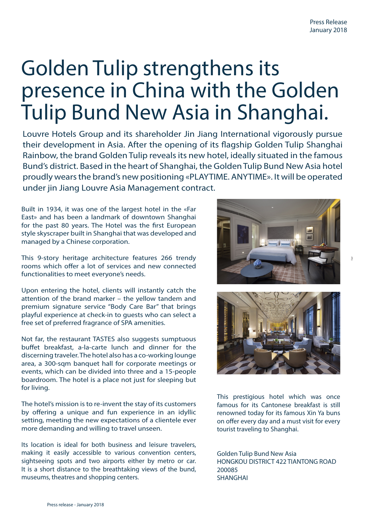3

 $\mathbf{B}$ 

## Golden Tulip strengthens its presence in China with the Golden Tulip Bund New Asia in Shanghai.

Louvre Hotels Group and its shareholder Jin Jiang International vigorously pursue their development in Asia. After the opening of its flagship Golden Tulip Shanghai Rainbow, the brand Golden Tulip reveals its new hotel, ideally situated in the famous Bund's district. Based in the heart of Shanghai, the Golden Tulip Bund New Asia hotel proudly wears the brand's new positioning «PLAYTIME. ANYTIME». It will be operated under jin Jiang Louvre Asia Management contract.

Built in 1934, it was one of the largest hotel in the «Far East» and has been a landmark of downtown Shanghai for the past 80 years. The Hotel was the first European style skyscraper built in Shanghai that was developed and managed by a Chinese corporation.

This 9-story heritage architecture features 266 trendy rooms which offer a lot of services and new connected functionalities to meet everyone's needs.

Upon entering the hotel, clients will instantly catch the attention of the brand marker – the yellow tandem and premium signature service "Body Care Bar" that brings playful experience at check-in to guests who can select a free set of preferred fragrance of SPA amenities.

Not far, the restaurant TASTES also suggests sumptuous buffet breakfast, a-la-carte lunch and dinner for the discerning traveler. The hotel also has a co-working lounge area, a 300-sqm banquet hall for corporate meetings or events, which can be divided into three and a 15-people boardroom. The hotel is a place not just for sleeping but for living.

The hotel's mission is to re-invent the stay of its customers by offering a unique and fun experience in an idyllic setting, meeting the new expectations of a clientele ever more demanding and willing to travel unseen.

Its location is ideal for both business and leisure travelers, making it easily accessible to various convention centers, sightseeing spots and two airports either by metro or car. It is a short distance to the breathtaking views of the bund, museums, theatres and shopping centers.





This prestigious hotel which was once famous for its Cantonese breakfast is still renowned today for its famous Xin Ya buns on offer every day and a must visit for every tourist traveling to Shanghai.

Golden Tulip Bund New Asia HONGKOU DISTRICT 422 TIANTONG ROAD 200085 SHANGHAI